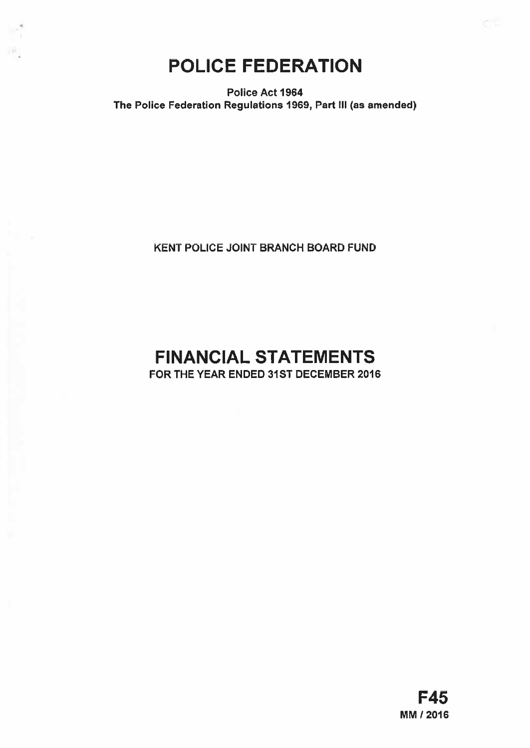# POLICE FEDERATION

W

-91

Police Act 1964 The Police Federation Regulations 1969, Part Ill (as amended)

KENT POLICE JOINT BRANCH BOARD FUND

## FINANCIAL STATEMENTS FOR THE YEAR ENDED 31ST DECEMBER 2016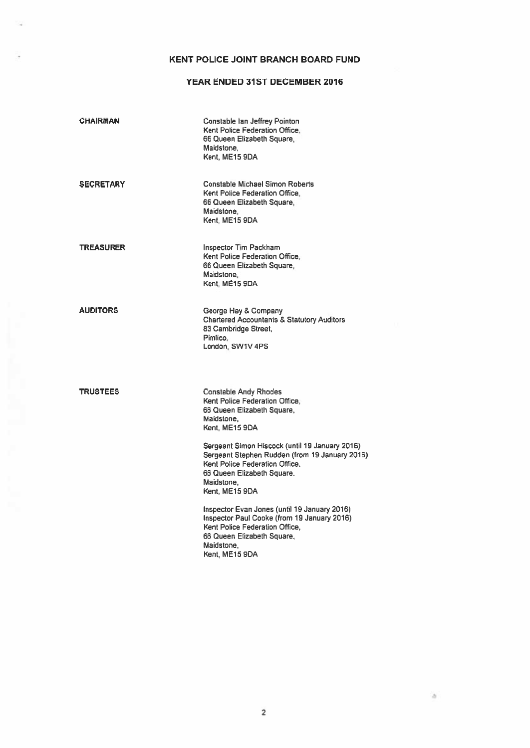### KENT POLICE JOINT BRANCH BOARD FUND

### YEAR ENDED 31ST DECEMBER 2016

| <b>CHAIRMAN</b>  | Constable Ian Jeffrey Pointon<br>Kent Police Federation Office.<br>66 Queen Elizabeth Square,<br>Maidstone.<br>Kent, ME15 9DA                                                                    |
|------------------|--------------------------------------------------------------------------------------------------------------------------------------------------------------------------------------------------|
| <b>SECRETARY</b> | <b>Constable Michael Simon Roberts</b><br>Kent Police Federation Office.<br>66 Queen Elizabeth Square,<br>Maidstone.<br>Kent, ME15 9DA                                                           |
| <b>TREASURER</b> | <b>Inspector Tim Packham</b><br>Kent Police Federation Office,<br>66 Queen Elizabeth Square,<br>Maidstone.<br>Kent, ME15 9DA                                                                     |
| <b>AUDITORS</b>  | George Hay & Company<br><b>Chartered Accountants &amp; Statutory Auditors</b><br>83 Cambridge Street,<br>Pimlico.<br>London, SW1V 4PS                                                            |
| <b>TRUSTEES</b>  | <b>Constable Andy Rhodes</b><br>Kent Police Federation Office.<br>66 Queen Elizabeth Square,<br>Maidstone.<br>Kent, ME15 9DA                                                                     |
|                  | Sergeant Simon Hiscock (until 19 January 2016)<br>Sergeant Stephen Rudden (from 19 January 2016)<br>Kent Police Federation Office,<br>66 Queen Elizabeth Square,<br>Maidstone,<br>Kent, ME15 9DA |
|                  | Inspector Evan Jones (until 19 January 2016)<br>Inspector Paul Cooke (from 19 January 2016)<br>Kent Police Federation Office,<br>66 Queen Elizabeth Square,<br>Maidstone.<br>Kent, ME15 9DA      |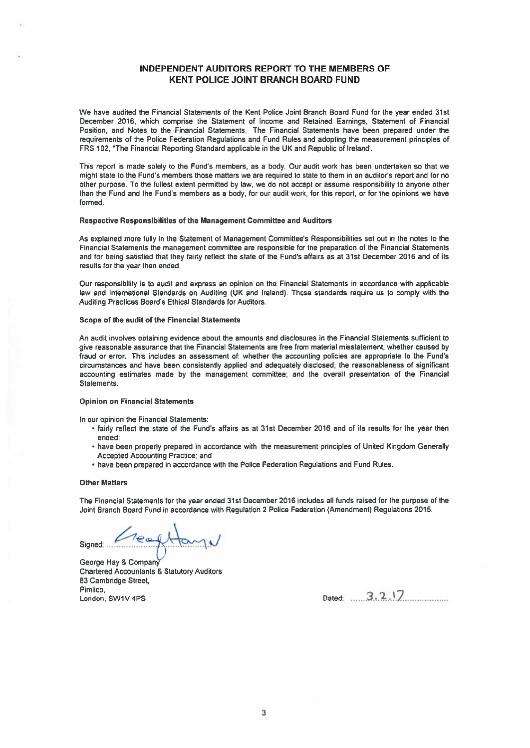### INDEPENDENT AUDITORS REPORT TO THE MEMBERS OF KENT POLICE JOINT BRANCH BOARD FUND

We have audited the Financial Statements of the Kent Police Joint Branch Board Fund for the year ended 31st December 2016, which comprise the Statement of Income and Retained Earnings, Statement of Financial Position, and Notes to the Financial Statements. The Financial Statements have been prepared under the requirements of the Police Federation Regulations and Fund Rules and adopting the measurement principles of FRS 102, "The Financial Reporting Standard applicable in the UK and Republic of Ireland'.

This repor<sup>t</sup> is made solely to the Fund's members, as <sup>a</sup> body. Our audit work has been undertaken so that we might state to the Fund's members those matters we are required to state to them in an auditor's repor<sup>t</sup> and for no other purpose. To the fullest extent permitted by law, we do not accep<sup>t</sup> or assume responsibility to anyone other than the Fund and the Fund's members as <sup>a</sup> body, for our audit work, for this report, or for the opinions we have formed.

#### Respective Responsibilities of the Management Committee and Auditors

As explained more fully in the Statement of Management Committee's Responsibilities set out in the notes to the Financial Statements the managemen<sup>t</sup> committee are responsible for the preparation of the Financial Statements and for being satisfied that they fairly reflect the state of the Fund's affairs as at 31st December 2016 and of its results for the year then ended.

Our responsibility is to audit and express an opinion on the Financial Statements in accordance with applicable law and International Standards on Auditing (UK and Ireland), Those standards require us to comply with the Auditing Practices Board's Ethical Standards for Auditors.

#### Scope of the audit of the Financial Statements

An audit involves obtaining evidence about the amounts and disclosures in the Financial Statements sufficient to give reasonable assurance that the Financial Statements are free from material misstatement, whether caused by fraud or error, This includes an assessment of: whether the accounting policies are appropriate to the Fund's circumstances and have been consistently applied and adequately disclosed; the reasonableness of significant accounting estimates made by the managemen<sup>t</sup> committee; and the overall presentation of the Financial Statements,

#### Opinion on Financial Statements

In our opinion the Financial Statements:

- fairly reflect the state of the Fund's affairs as at 31st December 2016 and of its results for the year then ended;
- have been properly prepared in accordance with the measurement principles of United Kingdom Generally Accepted Accounting Practice; and
- have been prepared in accordance with the Police Federation Regulations and Fund Rules.

#### **Other Matters**

The Financial Statements for the year ended 31st December 2016 includes all funds raised for the purpose of the Joint Branch Board Fund in accordance with Regulation 2 Police Federation (Amendment) Regulations 2015.

Greech Signed:

George Hay & Company Chartered Accountants & Statutory Auditors 83 Cambridge Street, Pimlico, Pinilico,<br>London, SW1V 4PS Dated: 3.2.17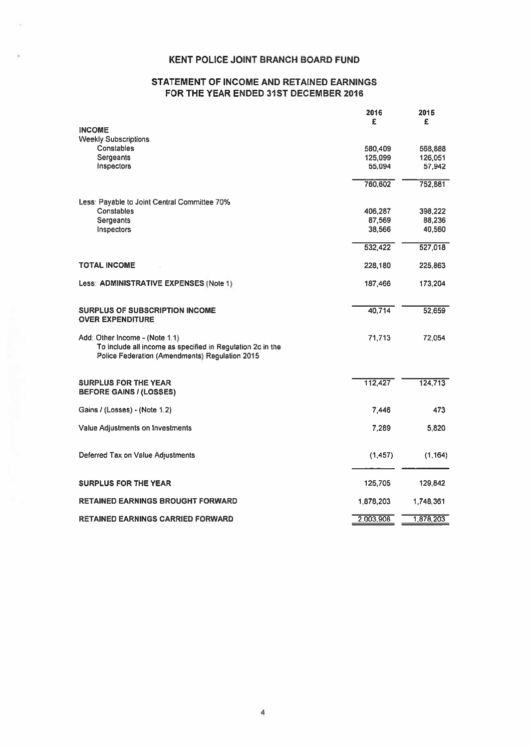### KENT POLICE JOINT BRANCH BOARD FUND

### STATEMENT OF INCOME AND RETAINED EARNINGS FOR THE YEAR ENDED 31ST DECEMBER 2016

|                                                                                                                                                | 2016<br>£         | 2015<br>£         |
|------------------------------------------------------------------------------------------------------------------------------------------------|-------------------|-------------------|
| <b>INCOME</b>                                                                                                                                  |                   |                   |
| <b>Weekly Subscriptions</b>                                                                                                                    |                   |                   |
| Constables                                                                                                                                     | 580,409           | 568,888           |
| <b>Sergeants</b>                                                                                                                               | 125,099<br>55,094 | 126,051<br>57,942 |
| Inspectors                                                                                                                                     |                   |                   |
|                                                                                                                                                | 760,602           | 752,881           |
| Less: Payable to Joint Central Committee 70%                                                                                                   |                   |                   |
| Constables                                                                                                                                     | 406,287           | 398,222           |
| <b>Sergeants</b>                                                                                                                               | 87,569            | 88,236            |
| Inspectors                                                                                                                                     | 38,566            | 40,560            |
|                                                                                                                                                | 532,422           | 527,018           |
| <b>TOTAL INCOME</b>                                                                                                                            | 228,180           | 225,863           |
| Less: ADMINISTRATIVE EXPENSES (Note 1)                                                                                                         | 187,466           | 173,204           |
| <b>SURPLUS OF SUBSCRIPTION INCOME</b><br><b>OVER EXPENDITURE</b>                                                                               | 40,714            | 52,659            |
| Add: Other Income - (Note 1.1)<br>To include all income as specified in Regulation 2c in the<br>Police Federation (Amendments) Regulation 2015 | 71,713            | 72,054            |
| <b>SURPLUS FOR THE YEAR</b><br><b>BEFORE GAINS / (LOSSES)</b>                                                                                  | 112,427           | 124,713           |
| Gains / (Losses) - (Note 1.2)                                                                                                                  | 7,446             | 473               |
| Value Adjustments on Investments                                                                                                               | 7,289             | 5.820             |
| Deferred Tax on Value Adjustments                                                                                                              | (1,457)           | (1, 164)          |
| <b>SURPLUS FOR THE YEAR</b>                                                                                                                    | 125,705           | 129,842           |
| <b>RETAINED EARNINGS BROUGHT FORWARD</b>                                                                                                       | 1,878,203         | 1,748,361         |
| <b>RETAINED EARNINGS CARRIED FORWARD</b>                                                                                                       | 2,003,908         | 1,878,203         |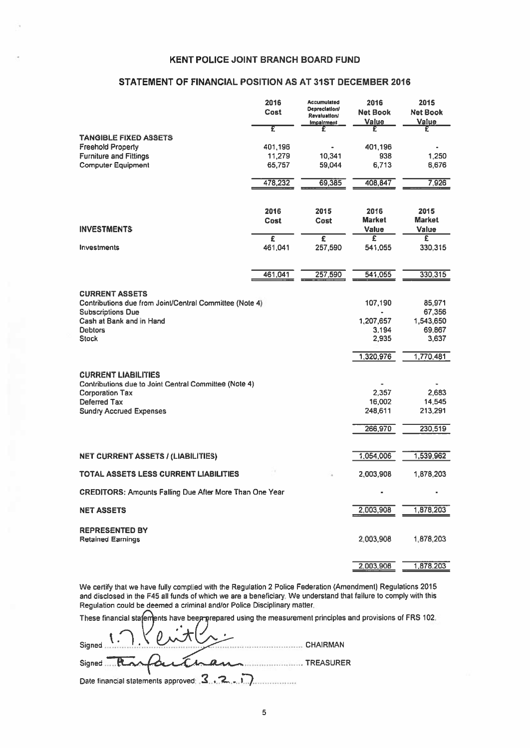### KENT POLICE JOINT BRANCH BOARD FUND

### STATEMENT OF FINANCIAL POSITION AS AT 31ST DECEMBER 2016

| <b>KENT POLICE JOINT BRANCH BOARD FUND</b>                                                                                                                                 |              |                                                                          |                                        |                                                  |
|----------------------------------------------------------------------------------------------------------------------------------------------------------------------------|--------------|--------------------------------------------------------------------------|----------------------------------------|--------------------------------------------------|
| STATEMENT OF FINANCIAL POSITION AS AT 31ST DECEMBER 2016                                                                                                                   |              |                                                                          |                                        |                                                  |
|                                                                                                                                                                            | 2016<br>Cost | Accumulated<br><b>Depreciation/</b><br>Revaluation/<br><b>Impairment</b> | 2016<br>Net Book<br>Value              | 2015<br><b>Net Book</b><br>Value                 |
| <b>TANGIBLE FIXED ASSETS</b>                                                                                                                                               | Έ            | F                                                                        | £                                      | £                                                |
| <b>Freehold Property</b>                                                                                                                                                   | 401,196      |                                                                          | 401,196                                |                                                  |
| <b>Furniture and Fittings</b>                                                                                                                                              | 11,279       | 10,341                                                                   | 938                                    | 1,250                                            |
| <b>Computer Equipment</b>                                                                                                                                                  | 65,757       | 59,044                                                                   | 6,713                                  | 6,676                                            |
|                                                                                                                                                                            | 478,232      | 69,385                                                                   | 408,847                                | 7,926                                            |
|                                                                                                                                                                            | 2016<br>Cost | 2015<br>Cost                                                             | 2016<br><b>Market</b>                  | 2015<br><b>Market</b>                            |
| <b>INVESTMENTS</b>                                                                                                                                                         | £            | £                                                                        | Value<br>Ξ                             | Value<br>Ξ                                       |
| Investments                                                                                                                                                                | 461,041      | 257,590                                                                  | 541,055                                | 330,315                                          |
|                                                                                                                                                                            | 461,041      | 257,590                                                                  | 541,055                                | 330,315                                          |
| <b>CURRENT ASSETS</b><br>Contributions due from Joint/Central Committee (Note 4)<br><b>Subscriptions Due</b><br>Cash at Bank and in Hand<br><b>Debtors</b><br><b>Stock</b> |              |                                                                          | 107,190<br>1,207,657<br>3,194<br>2,935 | 85,971<br>67,356<br>1,543,650<br>69,867<br>3,637 |
|                                                                                                                                                                            |              |                                                                          | 1,320,976                              | 1,770,481                                        |
| <b>CURRENT LIABILITIES</b><br>Contributions due to Joint Central Committee (Note 4)<br><b>Corporation Tax</b><br>Deferred Tax<br><b>Sundry Accrued Expenses</b>            |              |                                                                          | 2,357<br>16,002<br>248,611<br>266,970  | 2,683<br>14,545<br>213,291<br>230,519            |
|                                                                                                                                                                            |              |                                                                          |                                        |                                                  |
| <b>NET CURRENT ASSETS / (LIABILITIES)</b>                                                                                                                                  |              |                                                                          | 1,054,006                              | 1,539,962                                        |
| TOTAL ASSETS LESS CURRENT LIABILITIES                                                                                                                                      |              |                                                                          | 2,003,908                              | 1,878,203                                        |
| <b>CREDITORS: Amounts Falling Due After More Than One Year</b>                                                                                                             |              |                                                                          |                                        |                                                  |
| <b>NET ASSETS</b>                                                                                                                                                          |              |                                                                          | 2,003,908                              | 1,878,203                                        |
| <b>REPRESENTED BY</b><br><b>Retained Earnings</b>                                                                                                                          |              |                                                                          | 2,003,908                              | 1,878,203                                        |
|                                                                                                                                                                            |              |                                                                          | 2,003,908                              | 1,878,203                                        |

We certify that we have fully complied with the Regulation 2 Police Federation (Amendment) Regulations 2015 and disclosed in the F45 all funds of which we are <sup>a</sup> beneficiary. We understand that failure to comply with this Regulation could be deemed <sup>a</sup> criminal and/or Police Disciplinary matter.

These financial sta ements have beep prepared using the measurement principles and provisions of FRS 102.

| $S_{\text{signed}} \cap \text{Vevit}(L)$ | CHAIRMAN |
|------------------------------------------|----------|
| Signed Rander Enana FREASURER            |          |
|                                          |          |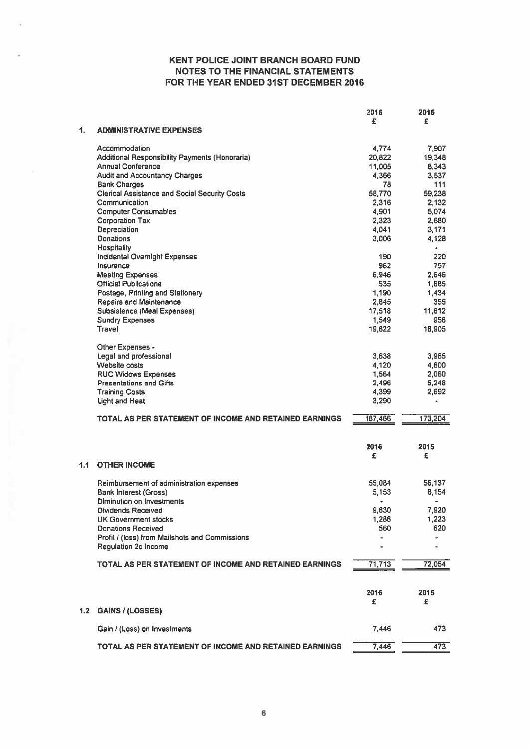|     |                                                                             | 2016             | 2015                         |
|-----|-----------------------------------------------------------------------------|------------------|------------------------------|
|     |                                                                             | £                | £                            |
| 1.  | <b>ADMINISTRATIVE EXPENSES</b>                                              |                  |                              |
|     | Accommodation                                                               | 4,774            |                              |
|     | Additional Responsibility Payments (Honoraria)                              |                  | 7,907                        |
|     | <b>Annual Conference</b>                                                    | 20,822<br>11,005 | 19,348                       |
|     |                                                                             | 4.366            | 8,343                        |
|     | <b>Audit and Accountancy Charges</b>                                        | 78               | 3,537                        |
|     | <b>Bank Charges</b><br><b>Clerical Assistance and Social Security Costs</b> | 58,770           | 111<br>59,238                |
|     | Communication                                                               | 2.316            |                              |
|     | <b>Computer Consumables</b>                                                 |                  | 2,132                        |
|     |                                                                             | 4,901            | 5,074                        |
|     | <b>Corporation Tax</b><br>Depreciation                                      | 2,323<br>4.041   | 2,680                        |
|     | Donations                                                                   |                  | 3,171                        |
|     |                                                                             | 3,006            | 4,128                        |
|     | Hospitality                                                                 |                  | ٠                            |
|     | <b>Incidental Overnight Expenses</b>                                        | 190<br>962       | 220<br>757                   |
|     | Insurance                                                                   |                  |                              |
|     | <b>Meeting Expenses</b>                                                     | 6.946            | 2.646                        |
|     | <b>Official Publications</b>                                                | 535              | 1,885                        |
|     | Postage, Printing and Stationery                                            | 1.190            | 1,434                        |
|     | <b>Repairs and Maintenance</b>                                              | 2,845            | 355                          |
|     | <b>Subsistence (Meal Expenses)</b>                                          | 17,518           | 11,612                       |
|     | <b>Sundry Expenses</b>                                                      | 1,549            | 956                          |
|     | Travel                                                                      | 19,822           | 18,905                       |
|     | Other Expenses -                                                            |                  |                              |
|     | Legal and professional                                                      | 3,638            | 3.965                        |
|     | Website costs                                                               | 4,120            | 4,800                        |
|     | <b>RUC Widows Expenses</b>                                                  | 1,564            | 2,060                        |
|     | <b>Presentations and Gifts</b>                                              | 2,496            | 5,248                        |
|     | <b>Training Costs</b>                                                       | 4,399            | 2,692                        |
|     | <b>Light and Heat</b>                                                       | 3,290            | $\bullet$                    |
|     | TOTAL AS PER STATEMENT OF INCOME AND RETAINED EARNINGS                      | 187,466          | 173,204                      |
|     |                                                                             |                  |                              |
|     |                                                                             |                  |                              |
|     |                                                                             | 2016             | 2015                         |
| 1.1 | <b>OTHER INCOME</b>                                                         | £                | £                            |
|     |                                                                             |                  |                              |
|     | Reimbursement of administration expenses                                    | 55,084           | 56,137                       |
|     | <b>Bank Interest (Gross)</b>                                                | 5,153            | 6.154                        |
|     | Diminution on Investments                                                   | $\bullet$        | $\qquad \qquad \blacksquare$ |
|     | <b>Dividends Received</b>                                                   | 9,630            | 7,920                        |
|     | <b>UK Government stocks</b>                                                 | 1,286            | 1,223                        |
|     | <b>Donations Received</b>                                                   | 560              | 620                          |
|     | Profit / (loss) from Mailshots and Commissions                              | $\blacksquare$   |                              |
|     | <b>Regulation 2c Income</b>                                                 |                  |                              |
|     | TOTAL AS PER STATEMENT OF INCOME AND RETAINED EARNINGS                      | 71,713           | 72,054                       |
|     |                                                                             |                  |                              |
|     |                                                                             |                  |                              |
|     |                                                                             | 2016             | 2015                         |
|     |                                                                             | £                | £                            |
| 1.2 | <b>GAINS / (LOSSES)</b>                                                     |                  |                              |
|     | Gain / (Loss) on Investments                                                | 7,446            | 473                          |
|     |                                                                             |                  |                              |
|     | TOTAL AS PER STATEMENT OF INCOME AND RETAINED EARNINGS                      | 7,446            | 473                          |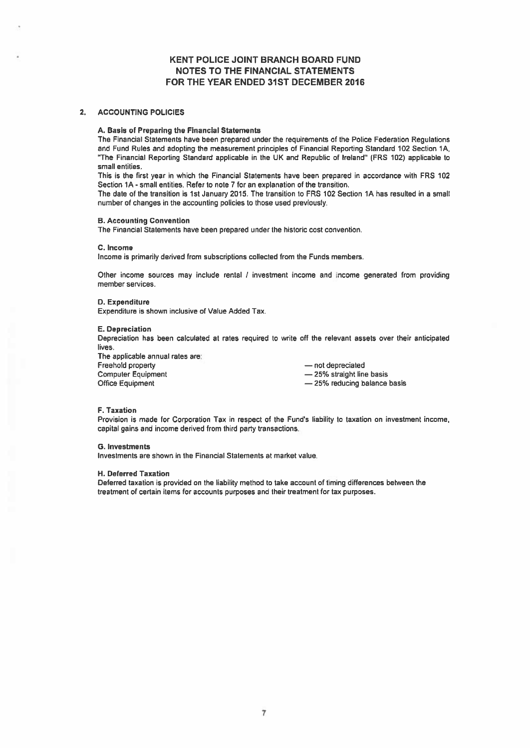#### 2. ACCOUNTING POLICIES

#### A. Basis of Preparing the Financial Statements

The Financial Statements have been prepared under the requirements of the Police Federation Regulations and Fund Rules and adopting the measurement principles of Financial Reporting Standard 102 Section 1A, "The Financial Reporting Standard applicable in the UK and Republic of Ireland" (FRS 102) applicable to small entities.

This is the first year in which the Financial Statements have been prepared in accordance with FRS 102 Section 1A- small entities. Refer to note 7 for an explanation of the transition.

The date of the transition is 1st January 2015. The transition to FRS 102 Section 1A has resulted in <sup>a</sup> small number of changes in the accounting policies to those used previously.

#### B. Accounting Convention

The Financial Statements have been prepared under the historic cost convention.

#### C. Income

Income is primarily derived from subscriptions collected from the Funds members.

Other income sources may include rental / investment income and income generated from providing member services.

#### 0. Expenditure

Expenditure is shown inclusive of Value Added Tax.

#### E. Depreciation

Depreciation has been calculated at rates required to write off the relevant assets over their anticipated lives.

| The applicable annual rates are: |                             |
|----------------------------------|-----------------------------|
| Freehold property                | - not depreciated           |
| Computer Equipment               | -25% straight line basis    |
| Office Equipment                 | -25% reducing balance basis |

#### F. Taxation

Provision is made for Corporation Tax in respec<sup>t</sup> of the Fund's liability to taxation on investment income, capital gains and income derived from third party transactions,

#### 0. Investments

Investments are shown in the Financial Statements at market value.

#### H. Deferred Taxation

Deferred taxation is provided on the liability method to take account of timing differences between the treatment of certain items for accounts purposes and their treatment for tax purposes.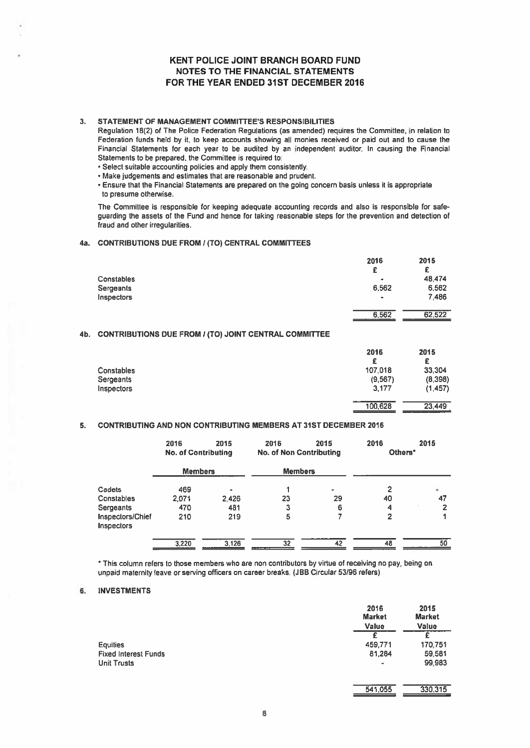#### 3. STATEMENT OF MANAGEMENT COMMITtEES RESPONSIBILITIES

- Select suitable accounting policies and apply them consistently.
- Make judgements and estimates that are reasonable and prudent.

#### 4a. CONTRIBUTIONS DUE FROM / (TO) CENTRAL COMMITTEES

|                  | 2016  | 2015   |
|------------------|-------|--------|
|                  | €     | £      |
| Constables       | ٠     | 48,474 |
| <b>Sergeants</b> | 6,562 | 6,562  |
| Inspectors       | ٠     | 7,486  |
|                  | 6.562 | 62,522 |

#### 4b. CONTRIBUTIONS DUE FROM / (TO) JOINT CENTRAL COMMITTEE

| <b>KENT POLICE JOINT BRANCH BOARD FUND</b><br><b>NOTES TO THE FINANCIAL STATEMENTS</b><br>FOR THE YEAR ENDED 31ST DECEMBER 2016                                                                                                                                                                                                                                                                                                                                                                                                                                                                                                                                                                                         |                              |                                        |
|-------------------------------------------------------------------------------------------------------------------------------------------------------------------------------------------------------------------------------------------------------------------------------------------------------------------------------------------------------------------------------------------------------------------------------------------------------------------------------------------------------------------------------------------------------------------------------------------------------------------------------------------------------------------------------------------------------------------------|------------------------------|----------------------------------------|
| STATEMENT OF MANAGEMENT COMMITTEE'S RESPONSIBILITIES<br>Regulation 18(2) of The Police Federation Regulations (as amended) requires the Committee, in relation to<br>Federation funds held by it, to keep accounts showing all monies received or paid out and to cause the<br>Financial Statements for each year to be audited by an independent auditor. In causing the Financial<br>Statements to be prepared, the Committee is required to:<br>Select suitable accounting policies and apply them consistently.<br>Make judgements and estimates that are reasonable and prudent.<br>Ensure that the Financial Statements are prepared on the going concern basis unless it is appropriate<br>to presume otherwise. |                              |                                        |
| The Committee is responsible for keeping adequate accounting records and also is responsible for safe-<br>guarding the assets of the Fund and hence for taking reasonable steps for the prevention and detection of<br>fraud and other irregularities.                                                                                                                                                                                                                                                                                                                                                                                                                                                                  |                              |                                        |
| CONTRIBUTIONS DUE FROM / (TO) CENTRAL COMMITTEES                                                                                                                                                                                                                                                                                                                                                                                                                                                                                                                                                                                                                                                                        |                              |                                        |
| Constables<br>Sergeants<br>Inspectors                                                                                                                                                                                                                                                                                                                                                                                                                                                                                                                                                                                                                                                                                   | 2016<br>£<br>6.562           | 2015<br>£.<br>48,474<br>6,562<br>7.486 |
|                                                                                                                                                                                                                                                                                                                                                                                                                                                                                                                                                                                                                                                                                                                         | 6.562                        | 62,522                                 |
| CONTRIBUTIONS DUE FROM / (TO) JOINT CENTRAL COMMITTEE                                                                                                                                                                                                                                                                                                                                                                                                                                                                                                                                                                                                                                                                   |                              |                                        |
|                                                                                                                                                                                                                                                                                                                                                                                                                                                                                                                                                                                                                                                                                                                         | 2016<br>£                    | 2015<br>£                              |
| Constables<br>Sergeants<br>Inspectors                                                                                                                                                                                                                                                                                                                                                                                                                                                                                                                                                                                                                                                                                   | 107.018<br>(9, 567)<br>3,177 | 33,304<br>(8,398)<br>(1,457)           |
|                                                                                                                                                                                                                                                                                                                                                                                                                                                                                                                                                                                                                                                                                                                         | 100,628                      | 23,449                                 |
| CONTRIBUTING AND NON CONTRIBUTING MEMBERS AT 31ST DECEMBER 2016                                                                                                                                                                                                                                                                                                                                                                                                                                                                                                                                                                                                                                                         |                              |                                        |
| 2016<br>2016<br>2015<br>2015<br><b>No. of Non Contributing</b><br><b>No. of Contributing</b>                                                                                                                                                                                                                                                                                                                                                                                                                                                                                                                                                                                                                            | 2016<br>Others'              | 2015                                   |
| <b>Members</b><br><b>Members</b>                                                                                                                                                                                                                                                                                                                                                                                                                                                                                                                                                                                                                                                                                        |                              |                                        |

#### 5. CONTRIBUTING AND NON CONTRIBUTING MEMBERS AT 31ST DECEMBER 2016

|                                | 2016<br><b>No. of Contributing</b> | 2015  | 2016<br><b>No. of Non Contributing</b> | 2015 | 2016<br>Others* | 2015 |
|--------------------------------|------------------------------------|-------|----------------------------------------|------|-----------------|------|
|                                | <b>Members</b>                     |       | <b>Members</b>                         |      |                 |      |
| Cadets                         | 469                                |       |                                        |      | 2               | ¥.   |
| Constables                     | 2.071                              | 2.426 | 23                                     | 29   | 40              | 47   |
| Sergeants                      | 470                                | 481   | 3                                      | 6    | 4               |      |
| Inspectors/Chief<br>Inspectors | 210                                | 219   | 5                                      |      | 2               |      |
|                                | 3,220                              | 3.126 | 32                                     | 42   | 48              | 50   |

This column refers to those members who are non contributors by virtue of receiving no pay, being on unpaid maternity leave or serving officers on career breaks. (JBB Circular 53/96 refers)

### 6. INVESTMENTS

|                             | 2016<br><b>Market</b><br>Value | 2015<br><b>Market</b><br>Value |
|-----------------------------|--------------------------------|--------------------------------|
|                             | e                              | £                              |
| <b>Equities</b>             | 459,771                        | 170,751                        |
| <b>Fixed Interest Funds</b> | 81,284                         | 59,581                         |
| <b>Unit Trusts</b>          |                                | 99,983                         |
|                             |                                |                                |

| 541,055 | 330,315 |
|---------|---------|
|         |         |